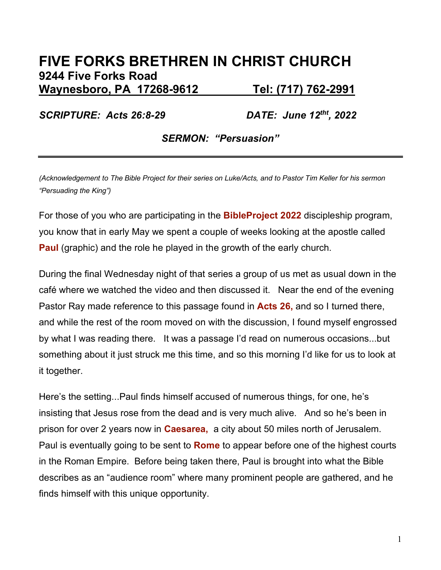# **FIVE FORKS BRETHREN IN CHRIST CHURCH 9244 Five Forks Road Waynesboro, PA 17268-9612 Tel: (717) 762-2991**

*SCRIPTURE: Acts 26:8-29* 

*DATE: June 12<sup>tht</sup>, 2022* 

*SERMON: "Persuasion"*

*(Acknowledgement to The Bible Project for their series on Luke/Acts, and to Pastor Tim Keller for his sermon "Persuading the King")*

For those of you who are participating in the **BibleProject 2022** discipleship program, you know that in early May we spent a couple of weeks looking at the apostle called **Paul** (graphic) and the role he played in the growth of the early church.

During the final Wednesday night of that series a group of us met as usual down in the café where we watched the video and then discussed it. Near the end of the evening Pastor Ray made reference to this passage found in **Acts 26,** and so I turned there, and while the rest of the room moved on with the discussion, I found myself engrossed by what I was reading there. It was a passage I'd read on numerous occasions...but something about it just struck me this time, and so this morning I'd like for us to look at it together.

Here's the setting...Paul finds himself accused of numerous things, for one, he's insisting that Jesus rose from the dead and is very much alive. And so he's been in prison for over 2 years now in **Caesarea,** a city about 50 miles north of Jerusalem. Paul is eventually going to be sent to **Rome** to appear before one of the highest courts in the Roman Empire. Before being taken there, Paul is brought into what the Bible describes as an "audience room" where many prominent people are gathered, and he finds himself with this unique opportunity.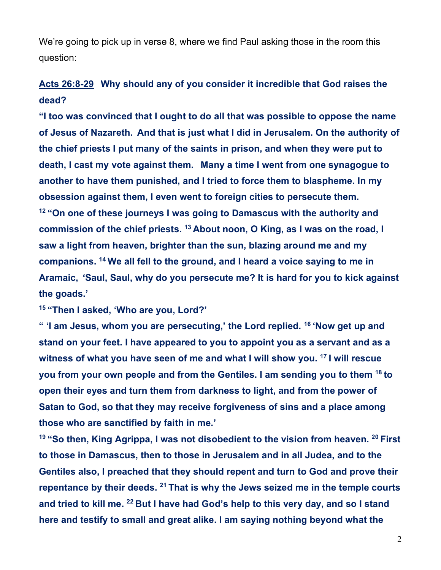We're going to pick up in verse 8, where we find Paul asking those in the room this question:

### **Acts 26:8-29 Why should any of you consider it incredible that God raises the dead?**

**"I too was convinced that I ought to do all that was possible to oppose the name of Jesus of Nazareth. And that is just what I did in Jerusalem. On the authority of the chief priests I put many of the saints in prison, and when they were put to death, I cast my vote against them. Many a time I went from one synagogue to another to have them punished, and I tried to force them to blaspheme. In my obsession against them, I even went to foreign cities to persecute them. <sup>12</sup> "On one of these journeys I was going to Damascus with the authority and commission of the chief priests. <sup>13</sup> About noon, O King, as I was on the road, I saw a light from heaven, brighter than the sun, blazing around me and my companions. <sup>14</sup> We all fell to the ground, and I heard a voice saying to me in Aramaic, 'Saul, Saul, why do you persecute me? It is hard for you to kick against the goads.'**

**<sup>15</sup> "Then I asked, 'Who are you, Lord?'**

**" 'I am Jesus, whom you are persecuting,' the Lord replied. <sup>16</sup> 'Now get up and stand on your feet. I have appeared to you to appoint you as a servant and as a witness of what you have seen of me and what I will show you. <sup>17</sup> I will rescue you from your own people and from the Gentiles. I am sending you to them <sup>18</sup> to open their eyes and turn them from darkness to light, and from the power of Satan to God, so that they may receive forgiveness of sins and a place among those who are sanctified by faith in me.'**

**<sup>19</sup> "So then, King Agrippa, I was not disobedient to the vision from heaven. <sup>20</sup> First to those in Damascus, then to those in Jerusalem and in all Judea, and to the Gentiles also, I preached that they should repent and turn to God and prove their repentance by their deeds. <sup>21</sup> That is why the Jews seized me in the temple courts and tried to kill me. <sup>22</sup> But I have had God's help to this very day, and so I stand here and testify to small and great alike. I am saying nothing beyond what the**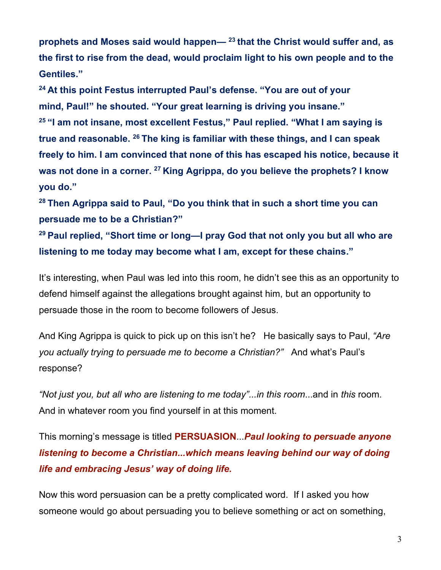**prophets and Moses said would happen— <sup>23</sup> that the Christ would suffer and, as the first to rise from the dead, would proclaim light to his own people and to the Gentiles."**

**<sup>24</sup> At this point Festus interrupted Paul's defense. "You are out of your mind, Paul!" he shouted. "Your great learning is driving you insane." <sup>25</sup> "I am not insane, most excellent Festus," Paul replied. "What I am saying is true and reasonable. <sup>26</sup> The king is familiar with these things, and I can speak freely to him. I am convinced that none of this has escaped his notice, because it was not done in a corner. <sup>27</sup> King Agrippa, do you believe the prophets? I know you do."**

**<sup>28</sup> Then Agrippa said to Paul, "Do you think that in such a short time you can persuade me to be a Christian?"**

**<sup>29</sup> Paul replied, "Short time or long—I pray God that not only you but all who are listening to me today may become what I am, except for these chains."**

It's interesting, when Paul was led into this room, he didn't see this as an opportunity to defend himself against the allegations brought against him, but an opportunity to persuade those in the room to become followers of Jesus.

And King Agrippa is quick to pick up on this isn't he? He basically says to Paul, *"Are you actually trying to persuade me to become a Christian?"* And what's Paul's response?

*"Not just you, but all who are listening to me today"...in this room*...and in *this* room. And in whatever room you find yourself in at this moment.

This morning's message is titled **PERSUASION**...*Paul looking to persuade anyone listening to become a Christian...which means leaving behind our way of doing life and embracing Jesus' way of doing life.*

Now this word persuasion can be a pretty complicated word. If I asked you how someone would go about persuading you to believe something or act on something,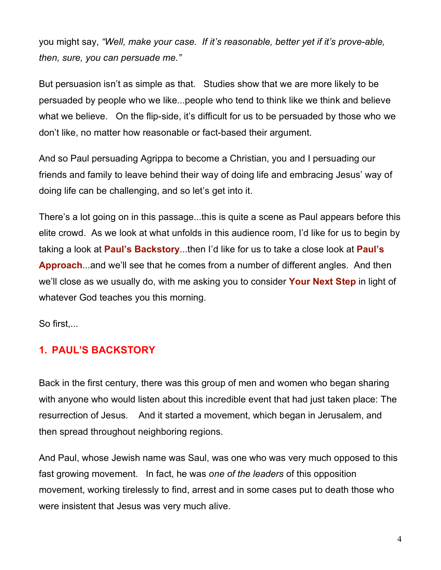you might say, *"Well, make your case. If it's reasonable, better yet if it's prove-able, then, sure, you can persuade me."*

But persuasion isn't as simple as that. Studies show that we are more likely to be persuaded by people who we like...people who tend to think like we think and believe what we believe. On the flip-side, it's difficult for us to be persuaded by those who we don't like, no matter how reasonable or fact-based their argument.

And so Paul persuading Agrippa to become a Christian, you and I persuading our friends and family to leave behind their way of doing life and embracing Jesus' way of doing life can be challenging, and so let's get into it.

There's a lot going on in this passage...this is quite a scene as Paul appears before this elite crowd. As we look at what unfolds in this audience room, I'd like for us to begin by taking a look at **Paul's Backstory**...then I'd like for us to take a close look at **Paul's Approach**...and we'll see that he comes from a number of different angles. And then we'll close as we usually do, with me asking you to consider **Your Next Step** in light of whatever God teaches you this morning.

So first,...

### **1. PAUL'S BACKSTORY**

Back in the first century, there was this group of men and women who began sharing with anyone who would listen about this incredible event that had just taken place: The resurrection of Jesus. And it started a movement, which began in Jerusalem, and then spread throughout neighboring regions.

And Paul, whose Jewish name was Saul, was one who was very much opposed to this fast growing movement. In fact, he was *one of the leaders* of this opposition movement, working tirelessly to find, arrest and in some cases put to death those who were insistent that Jesus was very much alive.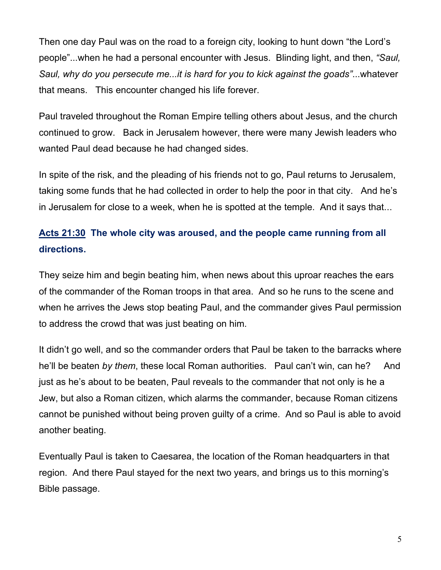Then one day Paul was on the road to a foreign city, looking to hunt down "the Lord's people"...when he had a personal encounter with Jesus. Blinding light, and then, *"Saul, Saul, why do you persecute me...it is hard for you to kick against the goads"*...whatever that means. This encounter changed his life forever.

Paul traveled throughout the Roman Empire telling others about Jesus, and the church continued to grow. Back in Jerusalem however, there were many Jewish leaders who wanted Paul dead because he had changed sides.

In spite of the risk, and the pleading of his friends not to go, Paul returns to Jerusalem, taking some funds that he had collected in order to help the poor in that city. And he's in Jerusalem for close to a week, when he is spotted at the temple. And it says that...

## **Acts 21:30 The whole city was aroused, and the people came running from all directions.**

They seize him and begin beating him, when news about this uproar reaches the ears of the commander of the Roman troops in that area. And so he runs to the scene and when he arrives the Jews stop beating Paul, and the commander gives Paul permission to address the crowd that was just beating on him.

It didn't go well, and so the commander orders that Paul be taken to the barracks where he'll be beaten *by them*, these local Roman authorities. Paul can't win, can he? And just as he's about to be beaten, Paul reveals to the commander that not only is he a Jew, but also a Roman citizen, which alarms the commander, because Roman citizens cannot be punished without being proven guilty of a crime. And so Paul is able to avoid another beating.

Eventually Paul is taken to Caesarea, the location of the Roman headquarters in that region. And there Paul stayed for the next two years, and brings us to this morning's Bible passage.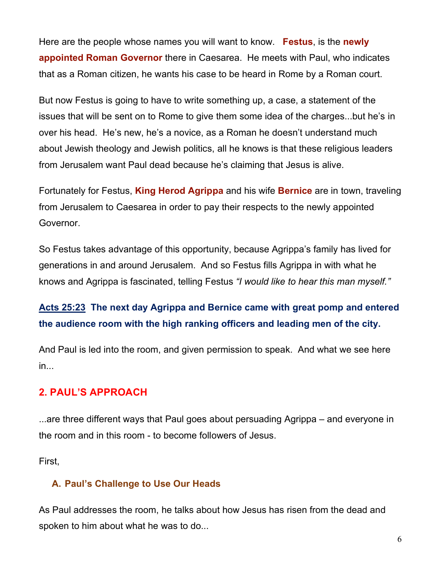Here are the people whose names you will want to know. **Festus**, is the **newly appointed Roman Governor** there in Caesarea. He meets with Paul, who indicates that as a Roman citizen, he wants his case to be heard in Rome by a Roman court.

But now Festus is going to have to write something up, a case, a statement of the issues that will be sent on to Rome to give them some idea of the charges...but he's in over his head. He's new, he's a novice, as a Roman he doesn't understand much about Jewish theology and Jewish politics, all he knows is that these religious leaders from Jerusalem want Paul dead because he's claiming that Jesus is alive.

Fortunately for Festus, **King Herod Agrippa** and his wife **Bernice** are in town, traveling from Jerusalem to Caesarea in order to pay their respects to the newly appointed Governor.

So Festus takes advantage of this opportunity, because Agrippa's family has lived for generations in and around Jerusalem. And so Festus fills Agrippa in with what he knows and Agrippa is fascinated, telling Festus *"I would like to hear this man myself."* 

## **Acts 25:23 The next day Agrippa and Bernice came with great pomp and entered the audience room with the high ranking officers and leading men of the city.**

And Paul is led into the room, and given permission to speak. And what we see here in...

#### **2. PAUL'S APPROACH**

...are three different ways that Paul goes about persuading Agrippa – and everyone in the room and in this room - to become followers of Jesus.

First,

#### **A. Paul's Challenge to Use Our Heads**

As Paul addresses the room, he talks about how Jesus has risen from the dead and spoken to him about what he was to do...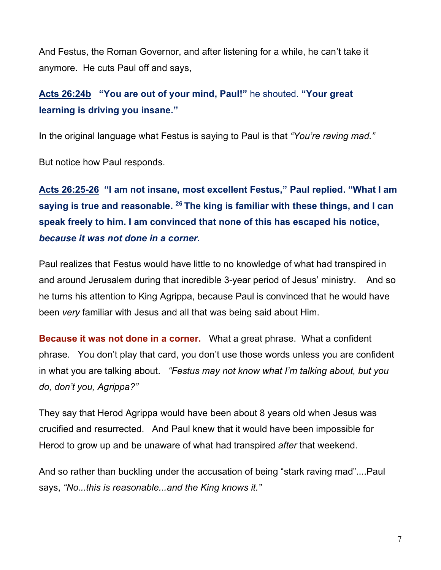And Festus, the Roman Governor, and after listening for a while, he can't take it anymore. He cuts Paul off and says,

## **Acts 26:24b "You are out of your mind, Paul!"** he shouted. **"Your great learning is driving you insane."**

In the original language what Festus is saying to Paul is that *"You're raving mad."*

But notice how Paul responds.

**Acts 26:25-26 "I am not insane, most excellent Festus," Paul replied. "What I am saying is true and reasonable. <sup>26</sup> The king is familiar with these things, and I can speak freely to him. I am convinced that none of this has escaped his notice,**  *because it was not done in a corner.*

Paul realizes that Festus would have little to no knowledge of what had transpired in and around Jerusalem during that incredible 3-year period of Jesus' ministry. And so he turns his attention to King Agrippa, because Paul is convinced that he would have been *very* familiar with Jesus and all that was being said about Him.

**Because it was not done in a corner.** What a great phrase. What a confident phrase. You don't play that card, you don't use those words unless you are confident in what you are talking about. *"Festus may not know what I'm talking about, but you do, don't you, Agrippa?"* 

They say that Herod Agrippa would have been about 8 years old when Jesus was crucified and resurrected. And Paul knew that it would have been impossible for Herod to grow up and be unaware of what had transpired *after* that weekend.

And so rather than buckling under the accusation of being "stark raving mad"....Paul says, *"No...this is reasonable...and the King knows it."*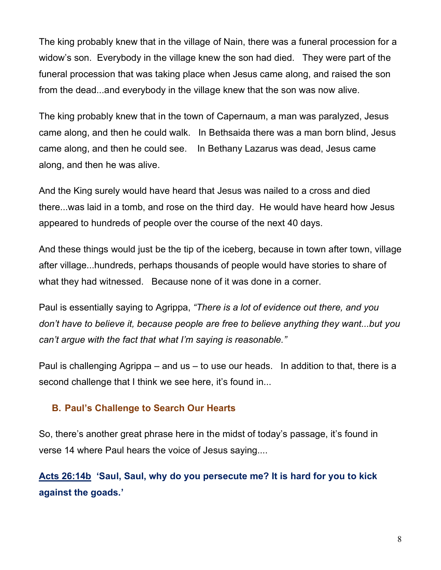The king probably knew that in the village of Nain, there was a funeral procession for a widow's son. Everybody in the village knew the son had died. They were part of the funeral procession that was taking place when Jesus came along, and raised the son from the dead...and everybody in the village knew that the son was now alive.

The king probably knew that in the town of Capernaum, a man was paralyzed, Jesus came along, and then he could walk. In Bethsaida there was a man born blind, Jesus came along, and then he could see. In Bethany Lazarus was dead, Jesus came along, and then he was alive.

And the King surely would have heard that Jesus was nailed to a cross and died there...was laid in a tomb, and rose on the third day. He would have heard how Jesus appeared to hundreds of people over the course of the next 40 days.

And these things would just be the tip of the iceberg, because in town after town, village after village...hundreds, perhaps thousands of people would have stories to share of what they had witnessed. Because none of it was done in a corner.

Paul is essentially saying to Agrippa, *"There is a lot of evidence out there, and you don't have to believe it, because people are free to believe anything they want...but you can't argue with the fact that what I'm saying is reasonable."*

Paul is challenging Agrippa – and us – to use our heads. In addition to that, there is a second challenge that I think we see here, it's found in...

#### **B. Paul's Challenge to Search Our Hearts**

So, there's another great phrase here in the midst of today's passage, it's found in verse 14 where Paul hears the voice of Jesus saying....

### **Acts 26:14b 'Saul, Saul, why do you persecute me? It is hard for you to kick against the goads.'**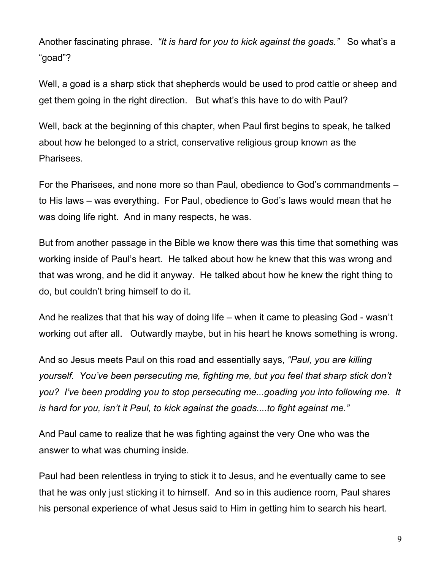Another fascinating phrase. *"It is hard for you to kick against the goads."* So what's a "goad"?

Well, a goad is a sharp stick that shepherds would be used to prod cattle or sheep and get them going in the right direction. But what's this have to do with Paul?

Well, back at the beginning of this chapter, when Paul first begins to speak, he talked about how he belonged to a strict, conservative religious group known as the Pharisees.

For the Pharisees, and none more so than Paul, obedience to God's commandments – to His laws – was everything. For Paul, obedience to God's laws would mean that he was doing life right. And in many respects, he was.

But from another passage in the Bible we know there was this time that something was working inside of Paul's heart. He talked about how he knew that this was wrong and that was wrong, and he did it anyway. He talked about how he knew the right thing to do, but couldn't bring himself to do it.

And he realizes that that his way of doing life – when it came to pleasing God - wasn't working out after all. Outwardly maybe, but in his heart he knows something is wrong.

And so Jesus meets Paul on this road and essentially says, *"Paul, you are killing yourself. You've been persecuting me, fighting me, but you feel that sharp stick don't you? I've been prodding you to stop persecuting me...goading you into following me. It is hard for you, isn't it Paul, to kick against the goads....to fight against me."*

And Paul came to realize that he was fighting against the very One who was the answer to what was churning inside.

Paul had been relentless in trying to stick it to Jesus, and he eventually came to see that he was only just sticking it to himself. And so in this audience room, Paul shares his personal experience of what Jesus said to Him in getting him to search his heart.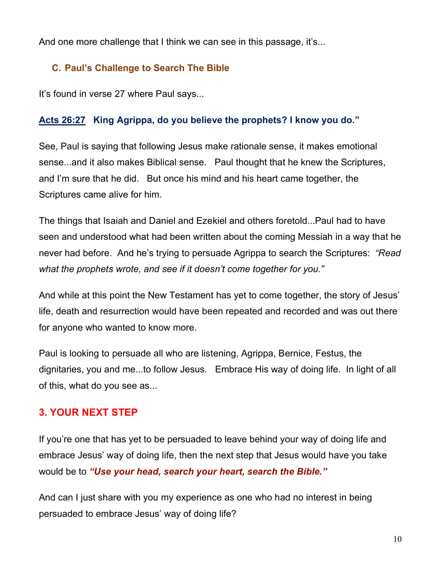And one more challenge that I think we can see in this passage, it's...

### **C. Paul's Challenge to Search The Bible**

It's found in verse 27 where Paul says...

#### **Acts 26:27 King Agrippa, do you believe the prophets? I know you do."**

See, Paul is saying that following Jesus make rationale sense, it makes emotional sense...and it also makes Biblical sense. Paul thought that he knew the Scriptures, and I'm sure that he did. But once his mind and his heart came together, the Scriptures came alive for him.

The things that Isaiah and Daniel and Ezekiel and others foretold...Paul had to have seen and understood what had been written about the coming Messiah in a way that he never had before. And he's trying to persuade Agrippa to search the Scriptures: *"Read what the prophets wrote, and see if it doesn't come together for you."* 

And while at this point the New Testament has yet to come together, the story of Jesus' life, death and resurrection would have been repeated and recorded and was out there for anyone who wanted to know more.

Paul is looking to persuade all who are listening, Agrippa, Bernice, Festus, the dignitaries, you and me...to follow Jesus. Embrace His way of doing life. In light of all of this, what do you see as...

#### **3. YOUR NEXT STEP**

If you're one that has yet to be persuaded to leave behind your way of doing life and embrace Jesus' way of doing life, then the next step that Jesus would have you take would be to *"Use your head, search your heart, search the Bible."*

And can I just share with you my experience as one who had no interest in being persuaded to embrace Jesus' way of doing life?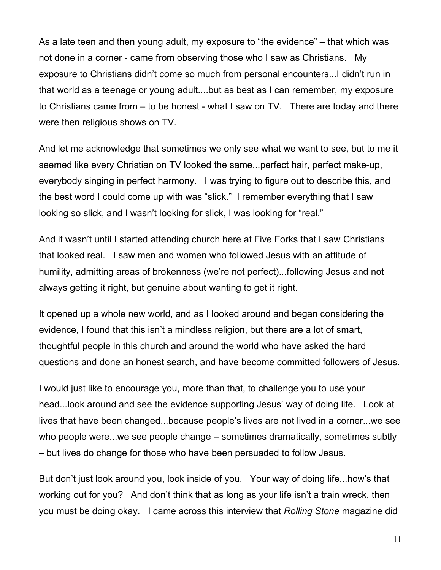As a late teen and then young adult, my exposure to "the evidence" – that which was not done in a corner - came from observing those who I saw as Christians. My exposure to Christians didn't come so much from personal encounters...I didn't run in that world as a teenage or young adult....but as best as I can remember, my exposure to Christians came from – to be honest - what I saw on TV. There are today and there were then religious shows on TV.

And let me acknowledge that sometimes we only see what we want to see, but to me it seemed like every Christian on TV looked the same...perfect hair, perfect make-up, everybody singing in perfect harmony. I was trying to figure out to describe this, and the best word I could come up with was "slick." I remember everything that I saw looking so slick, and I wasn't looking for slick, I was looking for "real."

And it wasn't until I started attending church here at Five Forks that I saw Christians that looked real. I saw men and women who followed Jesus with an attitude of humility, admitting areas of brokenness (we're not perfect)...following Jesus and not always getting it right, but genuine about wanting to get it right.

It opened up a whole new world, and as I looked around and began considering the evidence, I found that this isn't a mindless religion, but there are a lot of smart, thoughtful people in this church and around the world who have asked the hard questions and done an honest search, and have become committed followers of Jesus.

I would just like to encourage you, more than that, to challenge you to use your head...look around and see the evidence supporting Jesus' way of doing life. Look at lives that have been changed...because people's lives are not lived in a corner...we see who people were...we see people change – sometimes dramatically, sometimes subtly – but lives do change for those who have been persuaded to follow Jesus.

But don't just look around you, look inside of you. Your way of doing life...how's that working out for you? And don't think that as long as your life isn't a train wreck, then you must be doing okay. I came across this interview that *Rolling Stone* magazine did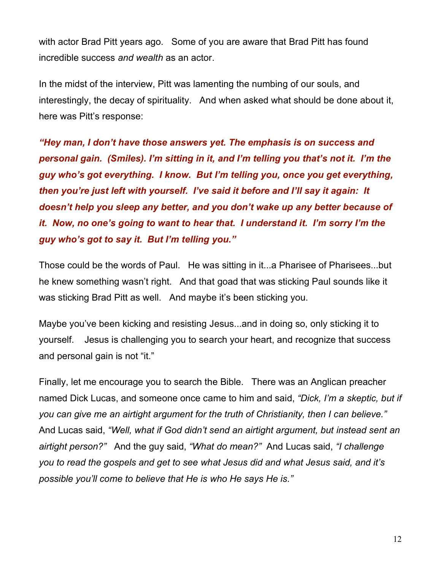with actor Brad Pitt years ago. Some of you are aware that Brad Pitt has found incredible success *and wealth* as an actor.

In the midst of the interview, Pitt was lamenting the numbing of our souls, and interestingly, the decay of spirituality. And when asked what should be done about it, here was Pitt's response:

*"Hey man, I don't have those answers yet. The emphasis is on success and personal gain. (Smiles). I'm sitting in it, and I'm telling you that's not it. I'm the guy who's got everything. I know. But I'm telling you, once you get everything, then you're just left with yourself. I've said it before and I'll say it again: It doesn't help you sleep any better, and you don't wake up any better because of it. Now, no one's going to want to hear that. I understand it. I'm sorry I'm the guy who's got to say it. But I'm telling you."* 

Those could be the words of Paul. He was sitting in it...a Pharisee of Pharisees...but he knew something wasn't right. And that goad that was sticking Paul sounds like it was sticking Brad Pitt as well. And maybe it's been sticking you.

Maybe you've been kicking and resisting Jesus...and in doing so, only sticking it to yourself. Jesus is challenging you to search your heart, and recognize that success and personal gain is not "it."

Finally, let me encourage you to search the Bible. There was an Anglican preacher named Dick Lucas, and someone once came to him and said, *"Dick, I'm a skeptic, but if you can give me an airtight argument for the truth of Christianity, then I can believe."* And Lucas said, *"Well, what if God didn't send an airtight argument, but instead sent an airtight person?"* And the guy said, *"What do mean?"* And Lucas said, *"I challenge you to read the gospels and get to see what Jesus did and what Jesus said, and it's possible you'll come to believe that He is who He says He is."*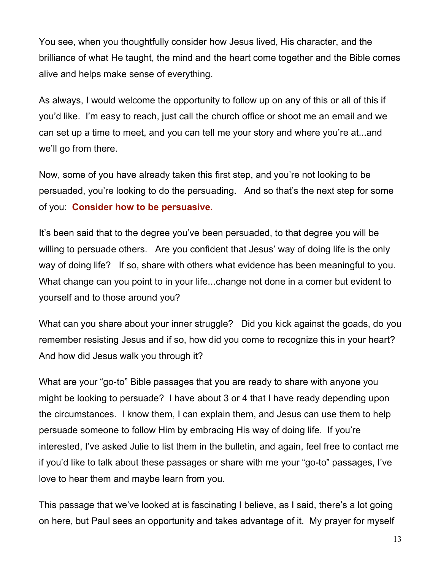You see, when you thoughtfully consider how Jesus lived, His character, and the brilliance of what He taught, the mind and the heart come together and the Bible comes alive and helps make sense of everything.

As always, I would welcome the opportunity to follow up on any of this or all of this if you'd like. I'm easy to reach, just call the church office or shoot me an email and we can set up a time to meet, and you can tell me your story and where you're at...and we'll go from there.

Now, some of you have already taken this first step, and you're not looking to be persuaded, you're looking to do the persuading. And so that's the next step for some of you: **Consider how to be persuasive.**

It's been said that to the degree you've been persuaded, to that degree you will be willing to persuade others. Are you confident that Jesus' way of doing life is the only way of doing life? If so, share with others what evidence has been meaningful to you. What change can you point to in your life...change not done in a corner but evident to yourself and to those around you?

What can you share about your inner struggle? Did you kick against the goads, do you remember resisting Jesus and if so, how did you come to recognize this in your heart? And how did Jesus walk you through it?

What are your "go-to" Bible passages that you are ready to share with anyone you might be looking to persuade? I have about 3 or 4 that I have ready depending upon the circumstances. I know them, I can explain them, and Jesus can use them to help persuade someone to follow Him by embracing His way of doing life. If you're interested, I've asked Julie to list them in the bulletin, and again, feel free to contact me if you'd like to talk about these passages or share with me your "go-to" passages, I've love to hear them and maybe learn from you.

This passage that we've looked at is fascinating I believe, as I said, there's a lot going on here, but Paul sees an opportunity and takes advantage of it. My prayer for myself